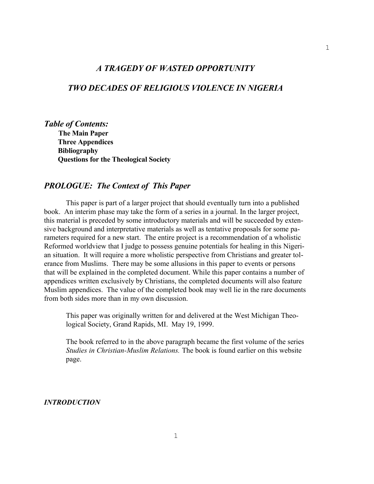# *A TRAGEDY OF WASTED OPPORTUNITY*

# *TWO DECADES OF RELIGIOUS VIOLENCE IN NIGERIA*

*Table of Contents:* **The Main Paper Three Appendices Bibliography Questions for the Theological Society**

# *PROLOGUE: The Context of This Paper*

This paper is part of a larger project that should eventually turn into a published book. An interim phase may take the form of a series in a journal. In the larger project, this material is preceded by some introductory materials and will be succeeded by extensive background and interpretative materials as well as tentative proposals for some parameters required for a new start. The entire project is a recommendation of a wholistic Reformed worldview that I judge to possess genuine potentials for healing in this Nigerian situation. It will require a more wholistic perspective from Christians and greater tolerance from Muslims. There may be some allusions in this paper to events or persons that will be explained in the completed document. While this paper contains a number of appendices written exclusively by Christians, the completed documents will also feature Muslim appendices. The value of the completed book may well lie in the rare documents from both sides more than in my own discussion.

This paper was originally written for and delivered at the West Michigan Theological Society, Grand Rapids, MI. May 19, 1999.

The book referred to in the above paragraph became the first volume of the series *Studies in Christian-Muslim Relations.* The book is found earlier on this website page.

### *INTRODUCTION*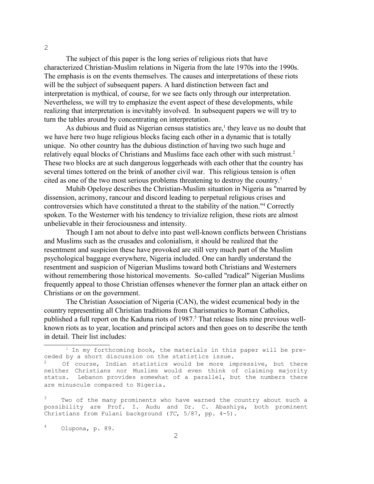The subject of this paper is the long series of religious riots that have characterized Christian-Muslim relations in Nigeria from the late 1970s into the 1990s. The emphasis is on the events themselves. The causes and interpretations of these riots will be the subject of subsequent papers. A hard distinction between fact and interpretation is mythical, of course, for we see facts only through our interpretation. Nevertheless, we will try to emphasize the event aspect of these developments, while realizing that interpretation is inevitably involved. In subsequent papers we will try to turn the tables around by concentrating on interpretation.

As dubious and fluid as Nigerian census statistics are, $<sup>1</sup>$  $<sup>1</sup>$  $<sup>1</sup>$  they leave us no doubt that</sup> we have here two huge religious blocks facing each other in a dynamic that is totally unique. No other country has the dubious distinction of having two such huge and relatively equal blocks of Christians and Muslims face each other with such mistrust.<sup>[2](#page-1-1)</sup> These two blocks are at such dangerous loggerheads with each other that the country has several times tottered on the brink of another civil war. This religious tension is often cited as one of the two most serious problems threatening to destroy the country.<sup>[3](#page-1-2)</sup>

Muhib Opeloye describes the Christian-Muslim situation in Nigeria as "marred by dissension, acrimony, rancour and discord leading to perpetual religious crises and controversies which have constituted a threat to the stability of the nation."[4](#page-1-3) Correctly spoken. To the Westerner with his tendency to trivialize religion, these riots are almost unbelievable in their ferociousness and intensity.

Though I am not about to delve into past well-known conflicts between Christians and Muslims such as the crusades and colonialism, it should be realized that the resentment and suspicion these have provoked are still very much part of the Muslim psychological baggage everywhere, Nigeria included. One can hardly understand the resentment and suspicion of Nigerian Muslims toward both Christians and Westerners without remembering those historical movements. So-called "radical" Nigerian Muslims frequently appeal to those Christian offenses whenever the former plan an attack either on Christians or on the government.

The Christian Association of Nigeria (CAN), the widest ecumenical body in the country representing all Christian traditions from Charismatics to Roman Catholics, published a full report on the Kaduna riots of 1987.<sup>[5](#page-2-0)</sup> That release lists nine previous wellknown riots as to year, location and principal actors and then goes on to describe the tenth in detail. Their list includes:

<span id="page-1-0"></span> $1$  In my forthcoming book, the materials in this paper will be preceded by a short discussion on the statistics issue.

<span id="page-1-1"></span>Of course, Indian statistics would be more impressive, but there neither Christians nor Muslims would even think of claiming majority status. Lebanon provides somewhat of a parallel, but the numbers there are minuscule compared to Nigeria.

<span id="page-1-3"></span><span id="page-1-2"></span>Two of the many prominents who have warned the country about such a possibility are Prof. I. Audu and Dr. C. Abashiya, both prominent Christians from Fulani background (*TC*, 5/87, pp. 4-5).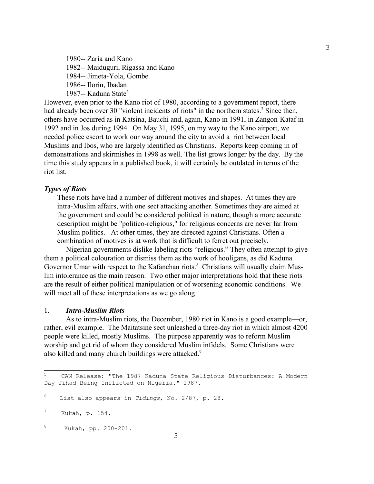1980-- Zaria and Kano 1982-- Maiduguri, Rigassa and Kano 1984-- Jimeta-Yola, Gombe 1986-- Ilorin, Ibadan 1987-- Kaduna State<sup>[6](#page-2-1)</sup>

However, even prior to the Kano riot of 1980, according to a government report, there had already been over 30 "violent incidents of riots" in the northern states.<sup>[7](#page-2-2)</sup> Since then, others have occurred as in Katsina, Bauchi and, again, Kano in 1991, in Zangon-Kataf in 1992 and in Jos during 1994. On May 31, 1995, on my way to the Kano airport, we needed police escort to work our way around the city to avoid a riot between local Muslims and Ibos, who are largely identified as Christians. Reports keep coming in of demonstrations and skirmishes in 1998 as well. The list grows longer by the day. By the time this study appears in a published book, it will certainly be outdated in terms of the riot list.

### *Types of Riots*

These riots have had a number of different motives and shapes. At times they are intra-Muslim affairs, with one sect attacking another. Sometimes they are aimed at the government and could be considered political in nature, though a more accurate description might be "politico-religious," for religious concerns are never far from Muslim politics. At other times, they are directed against Christians. Often a combination of motives is at work that is difficult to ferret out precisely.

Nigerian governments dislike labeling riots "religious." They often attempt to give them a political colouration or dismiss them as the work of hooligans, as did Kaduna Governor Umar with respect to the Kafanchan riots.<sup>[8](#page-2-3)</sup> Christians will usually claim Muslim intolerance as the main reason. Two other major interpretations hold that these riots are the result of either political manipulation or of worsening economic conditions. We will meet all of these interpretations as we go along

### 1. *Intra-Muslim Riots*

As to intra-Muslim riots, the December, 1980 riot in Kano is a good example—or, rather, evil example. The Maitatsine sect unleashed a three-day riot in which almost 4200 people were killed, mostly Muslims. The purpose apparently was to reform Muslim worship and get rid of whom they considered Muslim infidels. Some Christians were also killed and many church buildings were attacked.<sup>[9](#page-3-0)</sup>

<span id="page-2-0"></span>CAN Release: "The 1987 Kaduna State Religious Disturbances: A Modern Day Jihad Being Inflicted on Nigeria." 1987.

<span id="page-2-1"></span><sup>6</sup> List also appears in *Tidings*, No. 2/87, p. 28.

<span id="page-2-2"></span> $^7$  Kukah, p. 154.

<span id="page-2-3"></span><sup>8</sup> Kukah, pp. 200-201.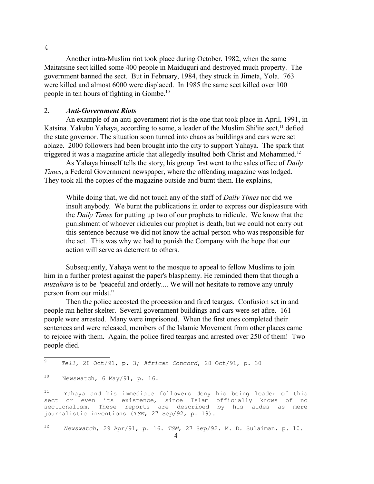Another intra-Muslim riot took place during October, 1982, when the same Maitatsine sect killed some 400 people in Maiduguri and destroyed much property. The government banned the sect. But in February, 1984, they struck in Jimeta, Yola. 763 were killed and almost 6000 were displaced. In 1985 the same sect killed over 100 people in ten hours of fighting in Gombe.[10](#page-3-1)

## 2. *Anti-Government Riots*

An example of an anti-government riot is the one that took place in April, 1991, in Katsina. Yakubu Yahaya, according to some, a leader of the Muslim Shi'ite sect,<sup>[11](#page-3-2)</sup> defied the state governor. The situation soon turned into chaos as buildings and cars were set ablaze. 2000 followers had been brought into the city to support Yahaya. The spark that triggered it was a magazine article that allegedly insulted both Christ and Mohammed.<sup>[12](#page-3-3)</sup>

As Yahaya himself tells the story, his group first went to the sales office of *Daily Times*, a Federal Government newspaper, where the offending magazine was lodged. They took all the copies of the magazine outside and burnt them. He explains,

While doing that, we did not touch any of the staff of *Daily Times* nor did we insult anybody. We burnt the publications in order to express our displeasure with the *Daily Times* for putting up two of our prophets to ridicule. We know that the punishment of whoever ridicules our prophet is death, but we could not carry out this sentence because we did not know the actual person who was responsible for the act. This was why we had to punish the Company with the hope that our action will serve as deterrent to others.

Subsequently, Yahaya went to the mosque to appeal to fellow Muslims to join him in a further protest against the paper's blasphemy. He reminded them that though a *muzahara* is to be "peaceful and orderly.... We will not hesitate to remove any unruly person from our midst."

Then the police accosted the procession and fired teargas. Confusion set in and people ran helter skelter. Several government buildings and cars were set afire. 161 people were arrested. Many were imprisoned. When the first ones completed their sentences and were released, members of the Islamic Movement from other places came to rejoice with them. Again, the police fired teargas and arrested over 250 of them! Two people died.

<span id="page-3-2"></span> $11$  Yahaya and his immediate followers deny his being leader of this sect or even its existence, since Islam officially knows of no sectionalism. These reports are described by his aides as mere journalistic inventions (*TSM*, 27 Sep/92, p. 19).

<span id="page-3-3"></span><sup>12</sup> *Newswatch*, 29 Apr/91, p. 16. *TSM*, 27 Sep/92. M. D. Sulaiman, p. 10.

<span id="page-3-0"></span><sup>9</sup> *Tell*, 28 Oct/91, p. 3; *African Concord*, 28 Oct/91, p. 30

<span id="page-3-1"></span> $10$  Newswatch, 6 May/91, p. 16.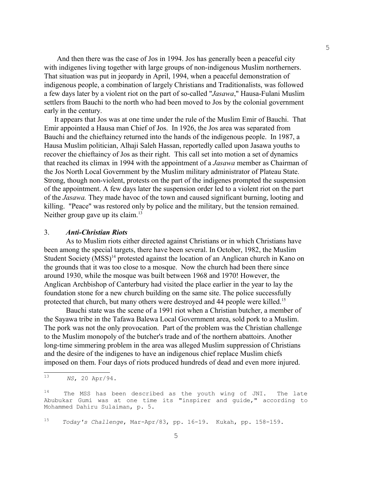And then there was the case of Jos in 1994. Jos has generally been a peaceful city with indigenes living together with large groups of non-indigenous Muslim northerners. That situation was put in jeopardy in April, 1994, when a peaceful demonstration of indigenous people, a combination of largely Christians and Traditionalists, was followed a few days later by a violent riot on the part of so-called "*Jasawa*," Hausa-Fulani Muslim settlers from Bauchi to the north who had been moved to Jos by the colonial government early in the century.

 It appears that Jos was at one time under the rule of the Muslim Emir of Bauchi. That Emir appointed a Hausa man Chief of Jos. In 1926, the Jos area was separated from Bauchi and the chieftaincy returned into the hands of the indigenous people. In 1987, a Hausa Muslim politician, Alhaji Saleh Hassan, reportedly called upon Jasawa youths to recover the chieftaincy of Jos as their right. This call set into motion a set of dynamics that reached its climax in 1994 with the appointment of a *Jasawa* member as Chairman of the Jos North Local Government by the Muslim military administrator of Plateau State. Strong, though non-violent, protests on the part of the indigenes prompted the suspension of the appointment. A few days later the suspension order led to a violent riot on the part of the *Jasawa.* They made havoc of the town and caused significant burning, looting and killing. "Peace" was restored only by police and the military, but the tension remained. Neither group gave up its claim.<sup>[13](#page-4-0)</sup>

### 3. *Anti-Christian Riots*

As to Muslim riots either directed against Christians or in which Christians have been among the special targets, there have been several. In October, 1982, the Muslim Student Society  $(MSS)^{14}$  $(MSS)^{14}$  $(MSS)^{14}$  protested against the location of an Anglican church in Kano on the grounds that it was too close to a mosque. Now the church had been there since around 1930, while the mosque was built between 1968 and 1970! However, the Anglican Archbishop of Canterbury had visited the place earlier in the year to lay the foundation stone for a new church building on the same site. The police successfully protected that church, but many others were destroyed and 44 people were killed.<sup>[15](#page-4-2)</sup>

Bauchi state was the scene of a 1991 riot when a Christian butcher, a member of the Sayawa tribe in the Tafawa Balewa Local Government area, sold pork to a Muslim. The pork was not the only provocation. Part of the problem was the Christian challenge to the Muslim monopoly of the butcher's trade and of the northern abattoirs. Another long-time simmering problem in the area was alleged Muslim suppression of Christians and the desire of the indigenes to have an indigenous chief replace Muslim chiefs imposed on them. Four days of riots produced hundreds of dead and even more injured.

5

<span id="page-4-0"></span><sup>13</sup> *NS*, 20 Apr/94.

<span id="page-4-1"></span> $14$  The MSS has been described as the youth wing of JNI. The late Abubukar Gumi was at one time its "inspirer and guide," according to Mohammed Dahiru Sulaiman, p. 5.

<span id="page-4-2"></span><sup>15</sup> *Today's Challenge*, Mar-Apr/83, pp. 16-19. Kukah, pp. 158-159.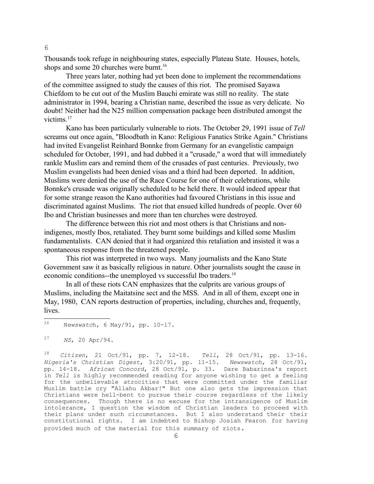Thousands took refuge in neighbouring states, especially Plateau State. Houses, hotels, shops and some 20 churches were burnt.<sup>[16](#page-5-0)</sup>

Three years later, nothing had yet been done to implement the recommendations of the committee assigned to study the causes of this riot. The promised Sayawa Chiefdom to be cut out of the Muslim Bauchi emirate was still no reality. The state administrator in 1994, bearing a Christian name, described the issue as very delicate. No doubt! Neither had the N25 million compensation package been distributed amongst the victims.<sup>[17](#page-5-1)</sup>

Kano has been particularly vulnerable to riots. The October 29, 1991 issue of *Tell* screams out once again, "Bloodbath in Kano: Religious Fanatics Strike Again." Christians had invited Evangelist Reinhard Bonnke from Germany for an evangelistic campaign scheduled for October, 1991, and had dubbed it a "crusade," a word that will immediately rankle Muslim ears and remind them of the crusades of past centuries. Previously, two Muslim evangelists had been denied visas and a third had been deported. In addition, Muslims were denied the use of the Race Course for one of their celebrations, while Bonnke's crusade was originally scheduled to be held there. It would indeed appear that for some strange reason the Kano authorities had favoured Christians in this issue and discriminated against Muslims. The riot that ensued killed hundreds of people. Over 60 Ibo and Christian businesses and more than ten churches were destroyed.

The difference between this riot and most others is that Christians and nonindigenes, mostly Ibos, retaliated. They burnt some buildings and killed some Muslim fundamentalists. CAN denied that it had organized this retaliation and insisted it was a spontaneous response from the threatened people.

This riot was interpreted in two ways. Many journalists and the Kano State Government saw it as basically religious in nature. Other journalists sought the cause in economic conditions--the unemployed vs successful Ibo traders.<sup>[18](#page-5-2)</sup>

In all of these riots CAN emphasizes that the culprits are various groups of Muslims, including the Maitatsine sect and the MSS. And in all of them, except one in May, 1980, CAN reports destruction of properties, including, churches and, frequently, lives.

<span id="page-5-2"></span><sup>18</sup> *Citizen*, 21 Oct/91, pp. 7, 12-18. *Tell*, 28 Oct/91, pp. 13-16. *Nigeria's Christian Digest*, 3:20/91, pp. 11-15. *Newswatch*, 28 Oct/91, pp. 14-18. *African Concord*, 28 Oct/91, p. 33. Dare Babarinsa's report in *Tell* is highly recommended reading for anyone wishing to get a feeling for the unbelievable atrocities that were committed under the familiar Muslim battle cry "Allahu Akbar!" But one also gets the impression that Christians were hell-bent to pursue their course regardless of the likely consequences. Though there is no excuse for the intransigence of Muslim intolerance, I question the wisdom of Christian leaders to proceed with their plans under such circumstances. But I also understand their their constitutional rights. I am indebted to Bishop Josiah Fearon for having provided much of the material for this summary of riots.

6

<span id="page-5-0"></span><sup>16</sup> N*ewswatc*h, 6 May/91, pp. 10-17.

<span id="page-5-1"></span><sup>17</sup> *NS*, 20 Apr/94.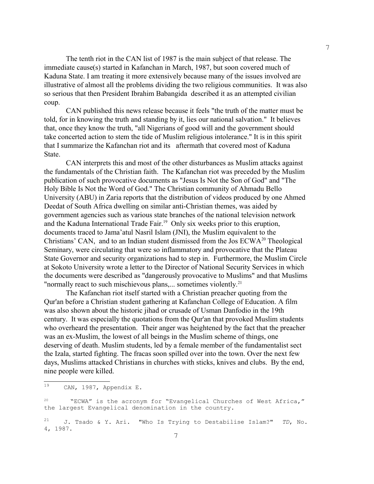The tenth riot in the CAN list of 1987 is the main subject of that release. The immediate cause(s) started in Kafanchan in March, 1987, but soon covered much of Kaduna State. I am treating it more extensively because many of the issues involved are illustrative of almost all the problems dividing the two religious communities. It was also so serious that then President Ibrahim Babangida described it as an attempted civilian coup.

CAN published this news release because it feels "the truth of the matter must be told, for in knowing the truth and standing by it, lies our national salvation." It believes that, once they know the truth, "all Nigerians of good will and the government should take concerted action to stem the tide of Muslim religious intolerance." It is in this spirit that I summarize the Kafanchan riot and its aftermath that covered most of Kaduna State.

 CAN interprets this and most of the other disturbances as Muslim attacks against the fundamentals of the Christian faith. The Kafanchan riot was preceded by the Muslim publication of such provocative documents as "Jesus Is Not the Son of God" and "The Holy Bible Is Not the Word of God." The Christian community of Ahmadu Bello University (ABU) in Zaria reports that the distribution of videos produced by one Ahmed Deedat of South Africa dwelling on similar anti-Christian themes, was aided by government agencies such as various state branches of the national television network and the Kaduna International Trade Fair.<sup>[19](#page-6-0)</sup> Only six weeks prior to this eruption, documents traced to Jama'atul Nasril Islam (JNI), the Muslim equivalent to the Christians' CAN, and to an Indian student dismissed from the Jos ECWA<sup>[20](#page-6-1)</sup> Theological Seminary, were circulating that were so inflammatory and provocative that the Plateau State Governor and security organizations had to step in. Furthermore, the Muslim Circle at Sokoto University wrote a letter to the Director of National Security Services in which the documents were described as "dangerously provocative to Muslims" and that Muslims "normally react to such mischievous plans,... sometimes violently. $21$ 

The Kafanchan riot itself started with a Christian preacher quoting from the Qur'an before a Christian student gathering at Kafanchan College of Education. A film was also shown about the historic jihad or crusade of Usman Danfodio in the 19th century. It was especially the quotations from the Qur'an that provoked Muslim students who overheard the presentation. Their anger was heightened by the fact that the preacher was an ex-Muslim, the lowest of all beings in the Muslim scheme of things, one deserving of death. Muslim students, led by a female member of the fundamentalist sect the Izala, started fighting. The fracas soon spilled over into the town. Over the next few days, Muslims attacked Christians in churches with sticks, knives and clubs. By the end, nine people were killed.

<span id="page-6-0"></span> $19$  CAN, 1987, Appendix E.

<span id="page-6-1"></span> $20$  "ECWA" is the acronym for "Evangelical Churches of West Africa," the largest Evangelical denomination in the country.

<span id="page-6-2"></span><sup>21</sup> J. Tsado & Y. Ari. "Who Is Trying to Destabilise Islam?" *TD*, No. 4, 1987.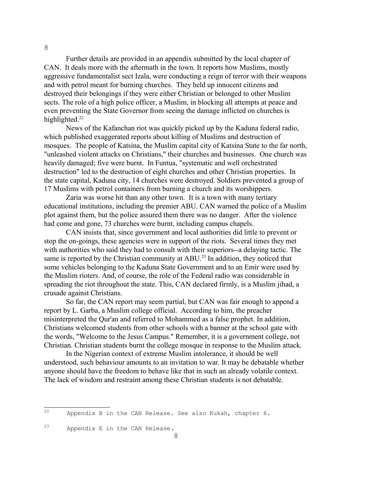Further details are provided in an appendix submitted by the local chapter of CAN. It deals more with the aftermath in the town. It reports how Muslims, mostly aggressive fundamentalist sect Izala, were conducting a reign of terror with their weapons and with petrol meant for burning churches. They held up innocent citizens and destroyed their belongings if they were either Christian or belonged to other Muslim sects. The role of a high police officer, a Muslim, in blocking all attempts at peace and even preventing the State Governor from seeing the damage inflicted on churches is highlighted.<sup>[22](#page-7-0)</sup>

News of the Kafanchan riot was quickly picked up by the Kaduna federal radio, which published exaggerated reports about killing of Muslims and destruction of mosques. The people of Katsina, the Muslim capital city of Katsina State to the far north, "unleashed violent attacks on Christians," their churches and businesses. One church was heavily damaged; five were burnt. In Funtua, "systematic and well orchestrated destruction" led to the destruction of eight churches and other Christian properties. In the state capital, Kaduna city, 14 churches were destroyed. Soldiers prevented a group of 17 Muslims with petrol containers from burning a church and its worshippers.

Zaria was worse hit than any other town. It is a town with many tertiary educational institutions, including the premier ABU. CAN warned the police of a Muslim plot against them, but the police assured them there was no danger. After the violence had come and gone, 73 churches were burnt, including campus chapels.

CAN insists that, since government and local authorities did little to prevent or stop the on-goings, these agencies were in support of the riots. Several times they met with authorities who said they had to consult with their superiors--a delaying tactic. The same is reported by the Christian community at ABU.<sup>[23](#page-7-1)</sup> In addition, they noticed that some vehicles belonging to the Kaduna State Government and to an Emir were used by the Muslim rioters. And, of course, the role of the Federal radio was considerable in spreading the riot throughout the state. This, CAN declared firmly, is a Muslim jihad, a crusade against Christians.

So far, the CAN report may seem partial, but CAN was fair enough to append a report by L. Garba, a Muslim college official. According to him, the preacher misinterpreted the Qur'an and referred to Mohammed as a false prophet. In addition, Christians welcomed students from other schools with a banner at the school gate with the words, "Welcome to the Jesus Campus." Remember, it is a government college, not Christian. Christian students burnt the college mosque in response to the Muslim attack.

In the Nigerian context of extreme Muslim intolerance, it should be well understood, such behaviour amounts to an invitation to war. It may be debatable whether anyone should have the freedom to behave like that in such an already volatile context. The lack of wisdom and restraint among these Christian students is not debatable.

<span id="page-7-0"></span> $22$  Appendix B in the CAN Release. See also Kukah, chapter 6.

<span id="page-7-1"></span> $23$  Appendix E in the CAN Release.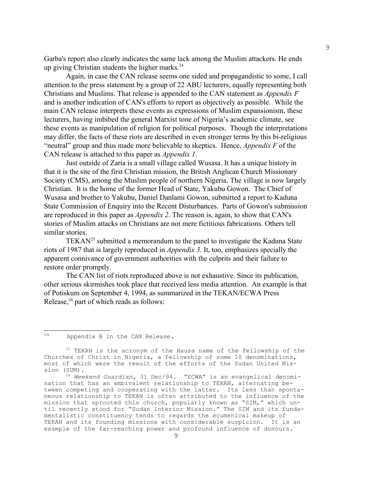Garba's report also clearly indicates the same lack among the Muslim attackers. He ends up giving Christian students the higher marks. $^{24}$  $^{24}$  $^{24}$ 

Again, in case the CAN release seems one sided and propagandistic to some, I call attention to the press statement by a group of 22 ABU lecturers, equally representing both Christians and Muslims. That release is appended to the CAN statement as *Appendix F* and is another indication of CAN's efforts to report as objectively as possible. While the main CAN release interprets these events as expressions of Muslim expansionism, these lecturers, having imbibed the general Marxist tone of Nigeria's academic climate, see these events as manipulation of religion for political purposes. Though the interpretations may differ, the facts of these riots are described in even stronger terms by this bi-religious "neutral" group and thus made more believable to skeptics. Hence, *Appendix F* of the CAN release is attached to this paper as *Appendix 1*.

Just outside of Zaria is a small village called Wusasa. It has a unique history in that it is the site of the first Christian mission, the British Anglican Church Missionary Society (CMS), among the Muslim people of northern Nigeria. The village is now largely Christian. It is the home of the former Head of State, Yakubu Gowon. The Chief of Wusasa and brother to Yakubu, Daniel Danlami Gowon, submitted a report to Kaduna State Commission of Enquiry into the Recent Disturbances. Parts of Gowon's submission are reproduced in this paper as *Appendix 2.* The reason is, again, to show that CAN's stories of Muslim attacks on Christians are not mere fictitious fabrications. Others tell similar stories.

TEKAN[25](#page-8-1) submitted a memorandum to the panel to investigate the Kaduna State riots of 1987 that is largely reproduced in *Appendix 3.* It, too, emphasizes specially the apparent connivance of government authorities with the culprits and their failure to restore order promptly.

The CAN list of riots reproduced above is not exhaustive. Since its publication, other serious skirmishes took place that received less media attention. An example is that of Potiskum on September 4, 1994, as summarized in the TEKAN/ECWA Press Release, $26$  part of which reads as follows:

<span id="page-8-0"></span><sup>24</sup> Appendix B in the CAN Release.

<span id="page-8-1"></span> $25$  TEKAN is the acronym of the Hausa name of the Fellowship of the Churches of Christ in Nigeria, a fellowship of some 10 denominations, most of which were the result of the efforts of the Sudan United Mission (SUM).

<span id="page-8-2"></span><sup>26</sup> *Weekend Guardian,* 31 Dec/94. "ECWA" is an evangelical denomination that has an ambivalent relationship to TEKAN, alternating between competing and cooperating with the latter. Its less than spontaneous relationship to TEKAN is often attributed to the influence of the mission that sprouted this church, popularly known as "SIM," which until recently stood for "Sudan Interior Mission." The SIM and its fundamentalistic constituency tends to regards the ecumenical makeup of TEKAN and its founding missions with considerable suspicion. It is an example of the far-reaching power and profound influence of donours*.*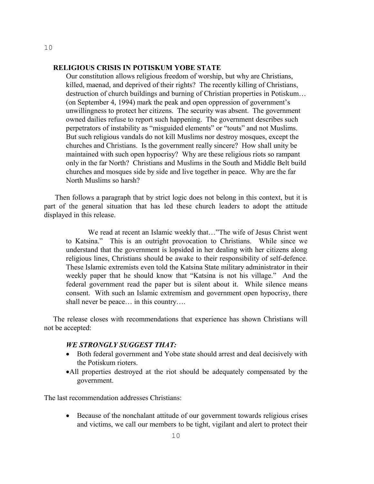# **RELIGIOUS CRISIS IN POTISKUM YOBE STATE**

Our constitution allows religious freedom of worship, but why are Christians, killed, maenad, and deprived of their rights? The recently killing of Christians, destruction of church buildings and burning of Christian properties in Potiskum… (on September 4, 1994) mark the peak and open oppression of government's unwillingness to protect her citizens. The security was absent. The government owned dailies refuse to report such happening. The government describes such perpetrators of instability as "misguided elements" or "touts" and not Muslims. But such religious vandals do not kill Muslims nor destroy mosques, except the churches and Christians. Is the government really sincere? How shall unity be maintained with such open hypocrisy? Why are these religious riots so rampant only in the far North? Christians and Muslims in the South and Middle Belt build churches and mosques side by side and live together in peace. Why are the far North Muslims so harsh?

 Then follows a paragraph that by strict logic does not belong in this context, but it is part of the general situation that has led these church leaders to adopt the attitude displayed in this release.

We read at recent an Islamic weekly that…"The wife of Jesus Christ went to Katsina." This is an outright provocation to Christians. While since we understand that the government is lopsided in her dealing with her citizens along religious lines, Christians should be awake to their responsibility of self-defence. These Islamic extremists even told the Katsina State military administrator in their weekly paper that he should know that "Katsina is not his village." And the federal government read the paper but is silent about it. While silence means consent. With such an Islamic extremism and government open hypocrisy, there shall never be peace… in this country….

 The release closes with recommendations that experience has shown Christians will not be accepted:

#### *WE STRONGLY SUGGEST THAT:*

- Both federal government and Yobe state should arrest and deal decisively with the Potiskum rioters.
- All properties destroyed at the riot should be adequately compensated by the government.

The last recommendation addresses Christians:

 Because of the nonchalant attitude of our government towards religious crises and victims, we call our members to be tight, vigilant and alert to protect their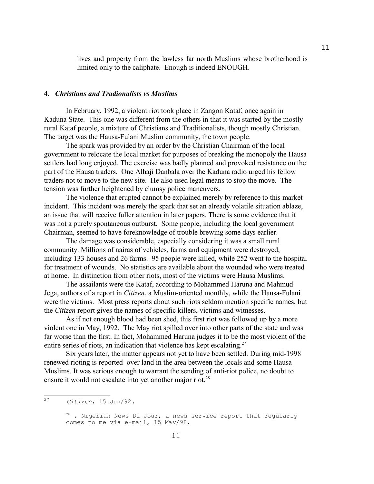lives and property from the lawless far north Muslims whose brotherhood is limited only to the caliphate. Enough is indeed ENOUGH.

### 4. *Christians and Tradionalists vs Muslims*

In February, 1992, a violent riot took place in Zangon Kataf, once again in Kaduna State. This one was different from the others in that it was started by the mostly rural Kataf people, a mixture of Christians and Traditionalists, though mostly Christian. The target was the Hausa-Fulani Muslim community, the town people.

The spark was provided by an order by the Christian Chairman of the local government to relocate the local market for purposes of breaking the monopoly the Hausa settlers had long enjoyed. The exercise was badly planned and provoked resistance on the part of the Hausa traders. One Alhaji Danbala over the Kaduna radio urged his fellow traders not to move to the new site. He also used legal means to stop the move. The tension was further heightened by clumsy police maneuvers.

The violence that erupted cannot be explained merely by reference to this market incident. This incident was merely the spark that set an already volatile situation ablaze, an issue that will receive fuller attention in later papers. There is some evidence that it was not a purely spontaneous outburst. Some people, including the local government Chairman, seemed to have foreknowledge of trouble brewing some days earlier.

The damage was considerable, especially considering it was a small rural community. Millions of nairas of vehicles, farms and equipment were destroyed, including 133 houses and 26 farms. 95 people were killed, while 252 went to the hospital for treatment of wounds. No statistics are available about the wounded who were treated at home. In distinction from other riots, most of the victims were Hausa Muslims.

The assailants were the Kataf, according to Mohammed Haruna and Mahmud Jega, authors of a report in *Citizen*, a Muslim-oriented monthly, while the Hausa-Fulani were the victims. Most press reports about such riots seldom mention specific names, but the *Citizen* report gives the names of specific killers, victims and witnesses.

As if not enough blood had been shed, this first riot was followed up by a more violent one in May, 1992. The May riot spilled over into other parts of the state and was far worse than the first. In fact, Mohammed Haruna judges it to be the most violent of the entire series of riots, an indication that violence has kept escalating.<sup>[27](#page-10-0)</sup>

Six years later, the matter appears not yet to have been settled. During mid-1998 renewed rioting is reported over land in the area between the locals and some Hausa Muslims. It was serious enough to warrant the sending of anti-riot police, no doubt to ensure it would not escalate into yet another major riot.<sup>[28](#page-10-1)</sup>

<span id="page-10-0"></span><sup>27</sup> *Citizen*, 15 Jun/92.

<span id="page-10-1"></span> $28$ , Nigerian News Du Jour, a news service report that regularly comes to me via e-mail, 15 May/98.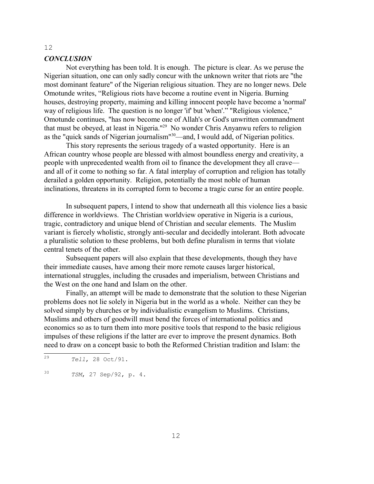### *CONCLUSION*

Not everything has been told. It is enough. The picture is clear. As we peruse the Nigerian situation, one can only sadly concur with the unknown writer that riots are "the most dominant feature" of the Nigerian religious situation. They are no longer news. Dele Omotunde writes, "Religious riots have become a routine event in Nigeria. Burning houses, destroying property, maiming and killing innocent people have become a 'normal' way of religious life. The question is no longer 'if' but 'when'." "Religious violence," Omotunde continues, "has now become one of Allah's or God's unwritten commandment that must be obeyed, at least in Nigeria."[29](#page-11-0) No wonder Chris Anyanwu refers to religion as the "quick sands of Nigerian journalism"[30](#page-11-1)—and, I would add, of Nigerian politics.

This story represents the serious tragedy of a wasted opportunity. Here is an African country whose people are blessed with almost boundless energy and creativity, a people with unprecedented wealth from oil to finance the development they all crave and all of it come to nothing so far. A fatal interplay of corruption and religion has totally derailed a golden opportunity. Religion, potentially the most noble of human inclinations, threatens in its corrupted form to become a tragic curse for an entire people.

In subsequent papers, I intend to show that underneath all this violence lies a basic difference in worldviews. The Christian worldview operative in Nigeria is a curious, tragic, contradictory and unique blend of Christian and secular elements. The Muslim variant is fiercely wholistic, strongly anti-secular and decidedly intolerant. Both advocate a pluralistic solution to these problems, but both define pluralism in terms that violate central tenets of the other.

Subsequent papers will also explain that these developments, though they have their immediate causes, have among their more remote causes larger historical, international struggles, including the crusades and imperialism, between Christians and the West on the one hand and Islam on the other.

Finally, an attempt will be made to demonstrate that the solution to these Nigerian problems does not lie solely in Nigeria but in the world as a whole. Neither can they be solved simply by churches or by individualistic evangelism to Muslims. Christians, Muslims and others of goodwill must bend the forces of international politics and economics so as to turn them into more positive tools that respond to the basic religious impulses of these religions if the latter are ever to improve the present dynamics. Both need to draw on a concept basic to both the Reformed Christian tradition and Islam: the

#### 12

<span id="page-11-0"></span><sup>29</sup> *Tell*, 28 Oct/91.

<span id="page-11-1"></span><sup>30</sup> *TSM*, 27 Sep/92, p. 4.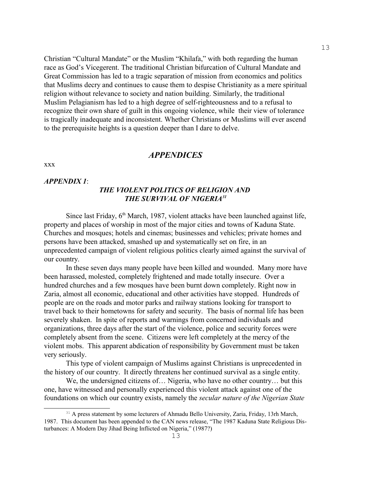Christian "Cultural Mandate" or the Muslim "Khilafa," with both regarding the human race as God's Vicegerent. The traditional Christian bifurcation of Cultural Mandate and Great Commission has led to a tragic separation of mission from economics and politics that Muslims decry and continues to cause them to despise Christianity as a mere spiritual religion without relevance to society and nation building. Similarly, the traditional Muslim Pelagianism has led to a high degree of self-righteousness and to a refusal to recognize their own share of guilt in this ongoing violence, while their view of tolerance is tragically inadequate and inconsistent. Whether Christians or Muslims will ever ascend to the prerequisite heights is a question deeper than I dare to delve.

# *APPENDICES*

xxx

### *APPENDIX 1*:

# *THE VIOLENT POLITICS OF RELIGION AND THE SURVIVAL OF NIGERIA[31](#page-12-0)*

Since last Friday,  $6<sup>th</sup>$  March, 1987, violent attacks have been launched against life, property and places of worship in most of the major cities and towns of Kaduna State. Churches and mosques; hotels and cinemas; businesses and vehicles; private homes and persons have been attacked, smashed up and systematically set on fire, in an unprecedented campaign of violent religious politics clearly aimed against the survival of our country.

In these seven days many people have been killed and wounded. Many more have been harassed, molested, completely frightened and made totally insecure. Over a hundred churches and a few mosques have been burnt down completely. Right now in Zaria, almost all economic, educational and other activities have stopped. Hundreds of people are on the roads and motor parks and railway stations looking for transport to travel back to their hometowns for safety and security. The basis of normal life has been severely shaken. In spite of reports and warnings from concerned individuals and organizations, three days after the start of the violence, police and security forces were completely absent from the scene. Citizens were left completely at the mercy of the violent mobs. This apparent abdication of responsibility by Government must be taken very seriously.

This type of violent campaign of Muslims against Christians is unprecedented in the history of our country. It directly threatens her continued survival as a single entity.

We, the undersigned citizens of... Nigeria, who have no other country... but this one, have witnessed and personally experienced this violent attack against one of the foundations on which our country exists, namely the *secular nature of the Nigerian State*

<span id="page-12-0"></span><sup>&</sup>lt;sup>31</sup> A press statement by some lecturers of Ahmadu Bello University, Zaria, Friday, 13rh March, 1987. This document has been appended to the CAN news release, "The 1987 Kaduna State Religious Disturbances: A Modern Day Jihad Being Inflicted on Nigeria," (1987?)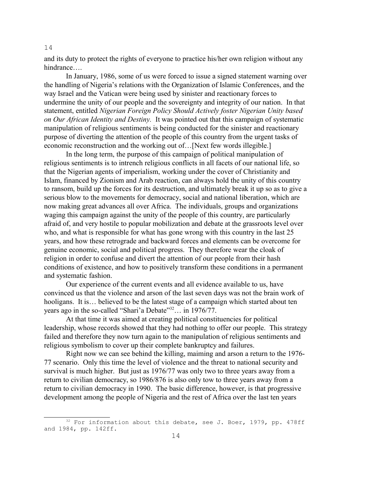and its duty to protect the rights of everyone to practice his/her own religion without any hindrance….

In January, 1986, some of us were forced to issue a signed statement warning over the handling of Nigeria's relations with the Organization of Islamic Conferences, and the way Israel and the Vatican were being used by sinister and reactionary forces to undermine the unity of our people and the sovereignty and integrity of our nation. In that statement, entitled *Nigerian Foreign Policy Should Actively foster Nigerian Unity based on Our African Identity and Destiny.* It was pointed out that this campaign of systematic manipulation of religious sentiments is being conducted for the sinister and reactionary purpose of diverting the attention of the people of this country from the urgent tasks of economic reconstruction and the working out of…[Next few words illegible.]

In the long term, the purpose of this campaign of political manipulation of religious sentiments is to intrench religious conflicts in all facets of our national life, so that the Nigerian agents of imperialism, working under the cover of Christianity and Islam, financed by Zionism and Arab reaction, can always hold the unity of this country to ransom, build up the forces for its destruction, and ultimately break it up so as to give a serious blow to the movements for democracy, social and national liberation, which are now making great advances all over Africa. The individuals, groups and organizations waging this campaign against the unity of the people of this country, are particularly afraid of, and very hostile to popular mobilization and debate at the grassroots level over who, and what is responsible for what has gone wrong with this country in the last 25 years, and how these retrograde and backward forces and elements can be overcome for genuine economic, social and political progress. They therefore wear the cloak of religion in order to confuse and divert the attention of our people from their hash conditions of existence, and how to positively transform these conditions in a permanent and systematic fashion.

Our experience of the current events and all evidence available to us, have convinced us that the violence and arson of the last seven days was not the brain work of hooligans. It is... believed to be the latest stage of a campaign which started about ten years ago in the so-called "Shari'a Debate"<sup>[32](#page-13-0)</sup>... in 1976/77.

At that time it was aimed at creating political constituencies for political leadership, whose records showed that they had nothing to offer our people. This strategy failed and therefore they now turn again to the manipulation of religious sentiments and religious symbolism to cover up their complete bankruptcy and failures.

Right now we can see behind the killing, maiming and arson a return to the 1976- 77 scenario. Only this time the level of violence and the threat to national security and survival is much higher. But just as 1976/77 was only two to three years away from a return to civilian democracy, so 1986/876 is also only tow to three years away from a return to civilian democracy in 1990. The basic difference, however, is that progressive development among the people of Nigeria and the rest of Africa over the last ten years

<span id="page-13-0"></span> $32$  For information about this debate, see J. Boer, 1979, pp. 478ff and 1984, pp. 142ff.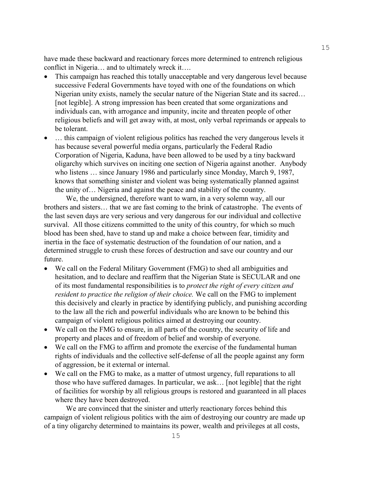have made these backward and reactionary forces more determined to entrench religious conflict in Nigeria… and to ultimately wreck it….

- This campaign has reached this totally unacceptable and very dangerous level because successive Federal Governments have toyed with one of the foundations on which Nigerian unity exists, namely the secular nature of the Nigerian State and its sacred… [not legible]. A strong impression has been created that some organizations and individuals can, with arrogance and impunity, incite and threaten people of other religious beliefs and will get away with, at most, only verbal reprimands or appeals to be tolerant.
- ... this campaign of violent religious politics has reached the very dangerous levels it has because several powerful media organs, particularly the Federal Radio Corporation of Nigeria, Kaduna, have been allowed to be used by a tiny backward oligarchy which survives on inciting one section of Nigeria against another. Anybody who listens … since January 1986 and particularly since Monday, March 9, 1987, knows that something sinister and violent was being systematically planned against the unity of… Nigeria and against the peace and stability of the country.

We, the undersigned, therefore want to warn, in a very solemn way, all our brothers and sisters… that we are fast coming to the brink of catastrophe. The events of the last seven days are very serious and very dangerous for our individual and collective survival. All those citizens committed to the unity of this country, for which so much blood has been shed, have to stand up and make a choice between fear, timidity and inertia in the face of systematic destruction of the foundation of our nation, and a determined struggle to crush these forces of destruction and save our country and our future.

- We call on the Federal Military Government (FMG) to shed all ambiguities and hesitation, and to declare and reaffirm that the Nigerian State is SECULAR and one of its most fundamental responsibilities is to *protect the right of every citizen and resident to practice the religion of their choice.* We call on the FMG to implement this decisively and clearly in practice by identifying publicly, and punishing according to the law all the rich and powerful individuals who are known to be behind this campaign of violent religious politics aimed at destroying our country.
- We call on the FMG to ensure, in all parts of the country, the security of life and property and places and of freedom of belief and worship of everyone.
- We call on the FMG to affirm and promote the exercise of the fundamental human rights of individuals and the collective self-defense of all the people against any form of aggression, be it external or internal.
- We call on the FMG to make, as a matter of utmost urgency, full reparations to all those who have suffered damages. In particular, we ask… [not legible] that the right of facilities for worship by all religious groups is restored and guaranteed in all places where they have been destroyed.

We are convinced that the sinister and utterly reactionary forces behind this campaign of violent religious politics with the aim of destroying our country are made up of a tiny oligarchy determined to maintains its power, wealth and privileges at all costs,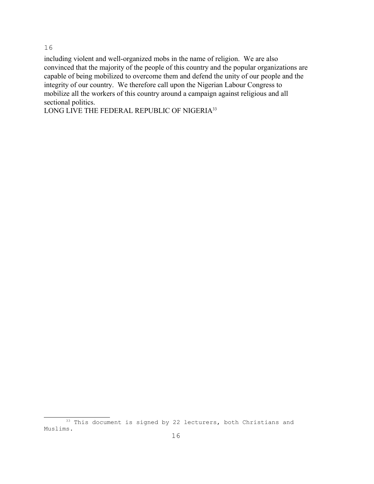## 16

including violent and well-organized mobs in the name of religion. We are also convinced that the majority of the people of this country and the popular organizations are capable of being mobilized to overcome them and defend the unity of our people and the integrity of our country. We therefore call upon the Nigerian Labour Congress to mobilize all the workers of this country around a campaign against religious and all sectional politics.

LONG LIVE THE FEDERAL REPUBLIC OF NIGERIA<sup>[33](#page-15-0)</sup>

<span id="page-15-0"></span><sup>&</sup>lt;sup>33</sup> This document is signed by 22 lecturers, both Christians and Muslims.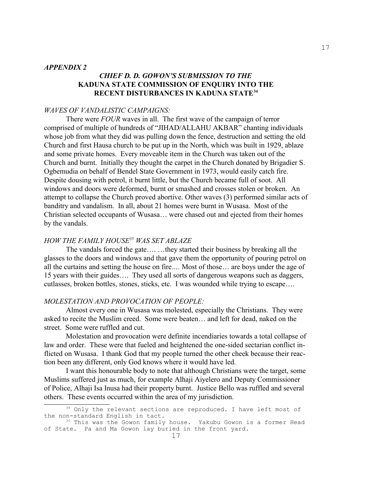### *APPENDIX 2*

# *CHIEF D. D. GOWON'S SUBMISSION TO THE* **KADUNA STATE COMMISSION OF ENQUIRY INTO THE RECENT DISTURBANCES IN KADUNA STATE[34](#page-16-0)**

### *WAVES OF VANDALISTIC CAMPAIGNS:*

There were *FOUR* waves in all. The first wave of the campaign of terror comprised of multiple of hundreds of "JIHAD/ALLAHU AKBAR" chanting individuals whose job from what they did was pulling down the fence, destruction and setting the old Church and first Hausa church to be put up in the North, which was built in 1929, ablaze and some private homes. Every moveable item in the Church was taken out of the Church and burnt. Initially they thought the carpet in the Church donated by Brigadier S. Ogbemudia on behalf of Bendel State Government in 1973, would easily catch fire. Despite dousing with petrol, it burnt little, but the Church became full of soot. All windows and doors were deformed, burnt or smashed and crosses stolen or broken. An attempt to collapse the Church proved abortive. Other waves (3) performed similar acts of banditry and vandalism. In all, about 21 homes were burnt in Wusasa. Most of the Christian selected occupants of Wusasa… were chased out and ejected from their homes by the vandals.

## *HOW THE FAMILY HOUSE[35](#page-16-1) WAS SET ABLAZE*

The vandals forced the gate…. …they started their business by breaking all the glasses to the doors and windows and that gave them the opportunity of pouring petrol on all the curtains and setting the house on fire*….* Most of those… are boys under the age of 15 years with their guides…. They used all sorts of dangerous weapons such as daggers, cutlasses, broken bottles, stones, sticks, etc. I was wounded while trying to escape….

### *MOLESTATION AND PROVOCATION OF PEOPLE:*

Almost every one in Wusasa was molested, especially the Christians. They were asked to recite the Muslim creed. Some were beaten… and left for dead, naked on the street. Some were ruffled and cut.

Molestation and provocation were definite incendiaries towards a total collapse of law and order. These were that fueled and heightened the one-sided sectarian conflict inflicted on Wusasa. I thank God that my people turned the other cheek because their reaction been any different, only God knows where it would have led.

I want this honourable body to note that although Christians were the target, some Muslims suffered just as much, for example Alhaji Aiyelero and Deputy Commissioner of Police, Alhaji Isa Inusa had their property burnt. Justice Bello was ruffled and several others. These events occurred within the area of my jurisdiction.

<span id="page-16-0"></span><sup>&</sup>lt;sup>34</sup> Only the relevant sections are reproduced. I have left most of the non-standard English in tact.

<span id="page-16-1"></span><sup>&</sup>lt;sup>35</sup> This was the Gowon family house. Yakubu Gowon is a former Head of State. Pa and Ma Gowon lay buried in the front yard.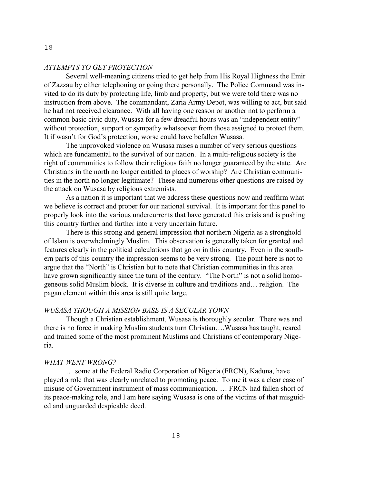# *ATTEMPTS TO GET PROTECTION*

Several well-meaning citizens tried to get help from His Royal Highness the Emir of Zazzau by either telephoning or going there personally. The Police Command was invited to do its duty by protecting life, limb and property, but we were told there was no instruction from above. The commandant, Zaria Army Depot, was willing to act, but said he had not received clearance. With all having one reason or another not to perform a common basic civic duty, Wusasa for a few dreadful hours was an "independent entity" without protection, support or sympathy whatsoever from those assigned to protect them. It if wasn't for God's protection, worse could have befallen Wusasa.

The unprovoked violence on Wusasa raises a number of very serious questions which are fundamental to the survival of our nation. In a multi-religious society is the right of communities to follow their religious faith no longer guaranteed by the state. Are Christians in the north no longer entitled to places of worship? Are Christian communities in the north no longer legitimate? These and numerous other questions are raised by the attack on Wusasa by religious extremists.

As a nation it is important that we address these questions now and reaffirm what we believe is correct and proper for our national survival. It is important for this panel to properly look into the various undercurrents that have generated this crisis and is pushing this country further and further into a very uncertain future.

There is this strong and general impression that northern Nigeria as a stronghold of Islam is overwhelmingly Muslim. This observation is generally taken for granted and features clearly in the political calculations that go on in this country. Even in the southern parts of this country the impression seems to be very strong. The point here is not to argue that the "North" is Christian but to note that Christian communities in this area have grown significantly since the turn of the century. "The North" is not a solid homogeneous solid Muslim block. It is diverse in culture and traditions and… religion. The pagan element within this area is still quite large.

# *WUSASA THOUGH A MISSION BASE IS A SECULAR TOWN*

Though a Christian establishment, Wusasa is thoroughly secular. There was and there is no force in making Muslim students turn Christian….Wusasa has taught, reared and trained some of the most prominent Muslims and Christians of contemporary Nigeria.

### *WHAT WENT WRONG?*

… some at the Federal Radio Corporation of Nigeria (FRCN), Kaduna, have played a role that was clearly unrelated to promoting peace. To me it was a clear case of misuse of Government instrument of mass communication. … FRCN had fallen short of its peace-making role, and I am here saying Wusasa is one of the victims of that misguided and unguarded despicable deed.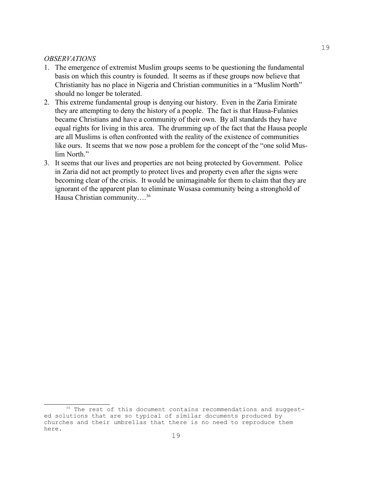### *OBSERVATIONS*

- 1. The emergence of extremist Muslim groups seems to be questioning the fundamental basis on which this country is founded. It seems as if these groups now believe that Christianity has no place in Nigeria and Christian communities in a "Muslim North" should no longer be tolerated.
- 2. This extreme fundamental group is denying our history. Even in the Zaria Emirate they are attempting to deny the history of a people. The fact is that Hausa-Fulanies became Christians and have a community of their own. By all standards they have equal rights for living in this area. The drumming up of the fact that the Hausa people are all Muslims is often confronted with the reality of the existence of communities like ours. It seems that we now pose a problem for the concept of the "one solid Muslim North."
- 3. It seems that our lives and properties are not being protected by Government. Police in Zaria did not act promptly to protect lives and property even after the signs were becoming clear of the crisis. It would be unimaginable for them to claim that they are ignorant of the apparent plan to eliminate Wusasa community being a stronghold of Hausa Christian community….[36](#page-18-0)

<span id="page-18-0"></span><sup>36</sup> The rest of this document contains recommendations and suggested solutions that are so typical of similar documents produced by churches and their umbrellas that there is no need to reproduce them here.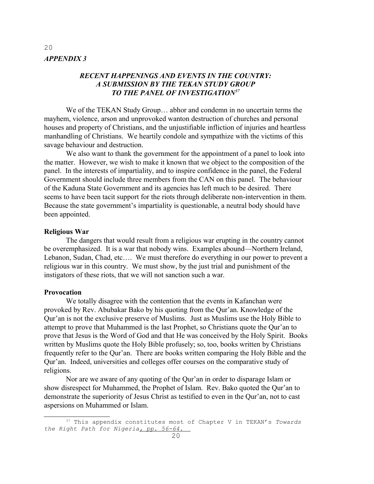# *APPENDIX 3*

# *RECENT HAPPENINGS AND EVENTS IN THE COUNTRY: A SUBMISSION BY THE TEKAN STUDY GROUP TO THE PANEL OF INVESTIGATION[37](#page-19-0)*

We of the TEKAN Study Group… abhor and condemn in no uncertain terms the mayhem, violence, arson and unprovoked wanton destruction of churches and personal houses and property of Christians, and the unjustifiable infliction of injuries and heartless manhandling of Christians. We heartily condole and sympathize with the victims of this savage behaviour and destruction.

We also want to thank the government for the appointment of a panel to look into the matter. However, we wish to make it known that we object to the composition of the panel. In the interests of impartiality, and to inspire confidence in the panel, the Federal Government should include three members from the CAN on this panel. The behaviour of the Kaduna State Government and its agencies has left much to be desired. There seems to have been tacit support for the riots through deliberate non-intervention in them. Because the state government's impartiality is questionable, a neutral body should have been appointed.

### **Religious War**

The dangers that would result from a religious war erupting in the country cannot be overemphasized. It is a war that nobody wins. Examples abound—Northern Ireland, Lebanon, Sudan, Chad, etc…. We must therefore do everything in our power to prevent a religious war in this country. We must show, by the just trial and punishment of the instigators of these riots, that we will not sanction such a war.

#### **Provocation**

We totally disagree with the contention that the events in Kafanchan were provoked by Rev. Abubakar Bako by his quoting from the Qur'an. Knowledge of the Qur'an is not the exclusive preserve of Muslims. Just as Muslims use the Holy Bible to attempt to prove that Muhammed is the last Prophet, so Christians quote the Qur'an to prove that Jesus is the Word of God and that He was conceived by the Holy Spirit. Books written by Muslims quote the Holy Bible profusely; so, too, books written by Christians frequently refer to the Qur'an. There are books written comparing the Holy Bible and the Qur'an. Indeed, universities and colleges offer courses on the comparative study of religions.

Nor are we aware of any quoting of the Qur'an in order to disparage Islam or show disrespect for Muhammed, the Prophet of Islam. Rev. Bako quoted the Qur'an to demonstrate the superiority of Jesus Christ as testified to even in the Qur'an, not to cast aspersions on Muhammed or Islam.

<span id="page-19-0"></span><sup>37</sup> This appendix constitutes most of Chapter V in TEKAN's *Towards the Right Path for Nigeria, pp. 56-64.*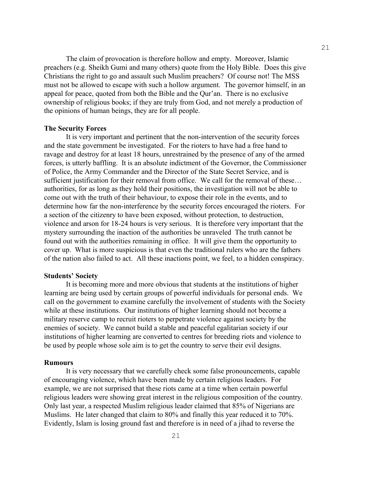The claim of provocation is therefore hollow and empty. Moreover, Islamic preachers (e.g. Sheikh Gumi and many others) quote from the Holy Bible. Does this give Christians the right to go and assault such Muslim preachers? Of course not! The MSS must not be allowed to escape with such a hollow argument. The governor himself, in an appeal for peace, quoted from both the Bible and the Qur'an. There is no exclusive ownership of religious books; if they are truly from God, and not merely a production of the opinions of human beings, they are for all people.

### **The Security Forces**

It is very important and pertinent that the non-intervention of the security forces and the state government be investigated. For the rioters to have had a free hand to ravage and destroy for at least 18 hours, unrestrained by the presence of any of the armed forces, is utterly baffling. It is an absolute indictment of the Governor, the Commissioner of Police, the Army Commander and the Director of the State Secret Service, and is sufficient justification for their removal from office. We call for the removal of these… authorities, for as long as they hold their positions, the investigation will not be able to come out with the truth of their behaviour, to expose their role in the events, and to determine how far the non-interference by the security forces encouraged the rioters. For a section of the citizenry to have been exposed, without protection, to destruction, violence and arson for 18-24 hours is very serious. It is therefore very important that the mystery surrounding the inaction of the authorities be unraveled The truth cannot be found out with the authorities remaining in office. It will give them the opportunity to cover up. What is more suspicious is that even the traditional rulers who are the fathers of the nation also failed to act. All these inactions point, we feel, to a hidden conspiracy.

### **Students' Society**

It is becoming more and more obvious that students at the institutions of higher learning are being used by certain groups of powerful individuals for personal ends. We call on the government to examine carefully the involvement of students with the Society while at these institutions. Our institutions of higher learning should not become a military reserve camp to recruit rioters to perpetrate violence against society by the enemies of society. We cannot build a stable and peaceful egalitarian society if our institutions of higher learning are converted to centres for breeding riots and violence to be used by people whose sole aim is to get the country to serve their evil designs.

#### **Rumours**

It is very necessary that we carefully check some false pronouncements, capable of encouraging violence, which have been made by certain religious leaders. For example, we are not surprised that these riots came at a time when certain powerful religious leaders were showing great interest in the religious composition of the country. Only last year, a respected Muslim religious leader claimed that 85% of Nigerians are Muslims. He later changed that claim to 80% and finally this year reduced it to 70%. Evidently, Islam is losing ground fast and therefore is in need of a jihad to reverse the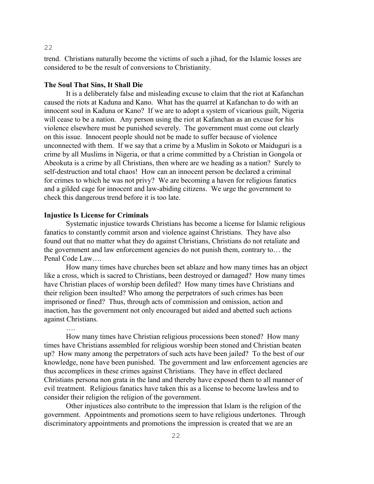trend. Christians naturally become the victims of such a jihad, for the Islamic losses are considered to be the result of conversions to Christianity.

### **The Soul That Sins, It Shall Die**

It is a deliberately false and misleading excuse to claim that the riot at Kafanchan caused the riots at Kaduna and Kano. What has the quarrel at Kafanchan to do with an innocent soul in Kaduna or Kano? If we are to adopt a system of vicarious guilt, Nigeria will cease to be a nation. Any person using the riot at Kafanchan as an excuse for his violence elsewhere must be punished severely. The government must come out clearly on this issue. Innocent people should not be made to suffer because of violence unconnected with them. If we say that a crime by a Muslim in Sokoto or Maiduguri is a crime by all Muslims in Nigeria, or that a crime committed by a Christian in Gongola or Abeokuta is a crime by all Christians, then where are we heading as a nation? Surely to self-destruction and total chaos! How can an innocent person be declared a criminal for crimes to which he was not privy? We are becoming a haven for religious fanatics and a gilded cage for innocent and law-abiding citizens. We urge the government to check this dangerous trend before it is too late.

### **Injustice Is License for Criminals**

….

Systematic injustice towards Christians has become a license for Islamic religious fanatics to constantly commit arson and violence against Christians. They have also found out that no matter what they do against Christians, Christians do not retaliate and the government and law enforcement agencies do not punish them, contrary to… the Penal Code Law….

How many times have churches been set ablaze and how many times has an object like a cross, which is sacred to Christians, been destroyed or damaged? How many times have Christian places of worship been defiled? How many times have Christians and their religion been insulted? Who among the perpetrators of such crimes has been imprisoned or fined? Thus, through acts of commission and omission, action and inaction, has the government not only encouraged but aided and abetted such actions against Christians.

How many times have Christian religious processions been stoned? How many times have Christians assembled for religious worship been stoned and Christian beaten up? How many among the perpetrators of such acts have been jailed? To the best of our knowledge, none have been punished. The government and law enforcement agencies are thus accomplices in these crimes against Christians. They have in effect declared Christians persona non grata in the land and thereby have exposed them to all manner of evil treatment. Religious fanatics have taken this as a license to become lawless and to consider their religion the religion of the government.

Other injustices also contribute to the impression that Islam is the religion of the government. Appointments and promotions seem to have religious undertones. Through discriminatory appointments and promotions the impression is created that we are an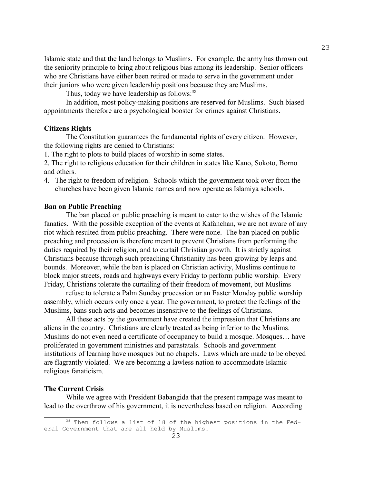Islamic state and that the land belongs to Muslims. For example, the army has thrown out the seniority principle to bring about religious bias among its leadership. Senior officers who are Christians have either been retired or made to serve in the government under their juniors who were given leadership positions because they are Muslims.

Thus, today we have leadership as follows:<sup>[38](#page-22-0)</sup>

In addition, most policy-making positions are reserved for Muslims. Such biased appointments therefore are a psychological booster for crimes against Christians.

### **Citizens Rights**

The Constitution guarantees the fundamental rights of every citizen. However, the following rights are denied to Christians:

1. The right to plots to build places of worship in some states.

2. The right to religious education for their children in states like Kano, Sokoto, Borno and others.

4. The right to freedom of religion. Schools which the government took over from the churches have been given Islamic names and now operate as Islamiya schools.

### **Ban on Public Preaching**

The ban placed on public preaching is meant to cater to the wishes of the Islamic fanatics. With the possible exception of the events at Kafanchan, we are not aware of any riot which resulted from public preaching. There were none. The ban placed on public preaching and procession is therefore meant to prevent Christians from performing the duties required by their religion, and to curtail Christian growth. It is strictly against Christians because through such preaching Christianity has been growing by leaps and bounds. Moreover, while the ban is placed on Christian activity, Muslims continue to block major streets, roads and highways every Friday to perform public worship. Every Friday, Christians tolerate the curtailing of their freedom of movement, but Muslims

refuse to tolerate a Palm Sunday procession or an Easter Monday public worship assembly, which occurs only once a year. The government, to protect the feelings of the Muslims, bans such acts and becomes insensitive to the feelings of Christians.

All these acts by the government have created the impression that Christians are aliens in the country. Christians are clearly treated as being inferior to the Muslims. Muslims do not even need a certificate of occupancy to build a mosque. Mosques… have proliferated in government ministries and parastatals. Schools and government institutions of learning have mosques but no chapels. Laws which are made to be obeyed are flagrantly violated. We are becoming a lawless nation to accommodate Islamic religious fanaticism.

#### **The Current Crisis**

While we agree with President Babangida that the present rampage was meant to lead to the overthrow of his government, it is nevertheless based on religion. According

<span id="page-22-0"></span><sup>&</sup>lt;sup>38</sup> Then follows a list of 18 of the highest positions in the Federal Government that are all held by Muslims.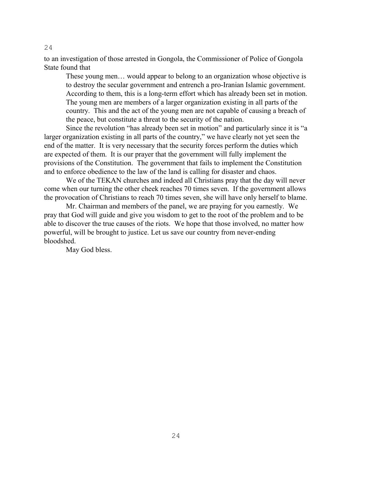to an investigation of those arrested in Gongola, the Commissioner of Police of Gongola State found that

These young men… would appear to belong to an organization whose objective is to destroy the secular government and entrench a pro-Iranian Islamic government. According to them, this is a long-term effort which has already been set in motion. The young men are members of a larger organization existing in all parts of the country. This and the act of the young men are not capable of causing a breach of the peace, but constitute a threat to the security of the nation.

Since the revolution "has already been set in motion" and particularly since it is "a larger organization existing in all parts of the country," we have clearly not yet seen the end of the matter. It is very necessary that the security forces perform the duties which are expected of them. It is our prayer that the government will fully implement the provisions of the Constitution. The government that fails to implement the Constitution and to enforce obedience to the law of the land is calling for disaster and chaos.

We of the TEKAN churches and indeed all Christians pray that the day will never come when our turning the other cheek reaches 70 times seven. If the government allows the provocation of Christians to reach 70 times seven, she will have only herself to blame.

Mr. Chairman and members of the panel, we are praying for you earnestly. We pray that God will guide and give you wisdom to get to the root of the problem and to be able to discover the true causes of the riots. We hope that those involved, no matter how powerful, will be brought to justice. Let us save our country from never-ending bloodshed.

May God bless.

#### 24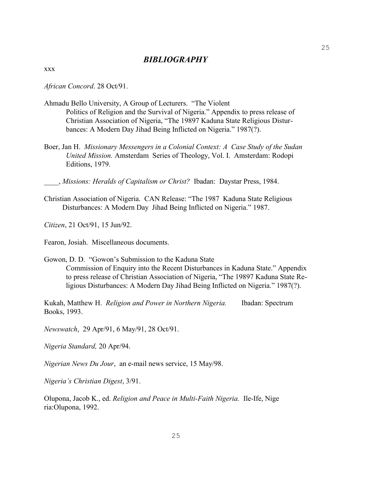## *BIBLIOGRAPHY*

xxx

*African Concord*. 28 Oct/91.

- Ahmadu Bello University, A Group of Lecturers. "The Violent Politics of Religion and the Survival of Nigeria." Appendix to press release of Christian Association of Nigeria, "The 19897 Kaduna State Religious Disturbances: A Modern Day Jihad Being Inflicted on Nigeria." 1987(?).
- Boer, Jan H. *Missionary Messengers in a Colonial Context: A Case Study of the Sudan United Mission.* Amsterdam Series of Theology, Vol. I. Amsterdam: Rodopi Editions, 1979.

\_\_\_\_, *Missions: Heralds of Capitalism or Christ?* Ibadan: Daystar Press, 1984.

Christian Association of Nigeria. CAN Release: "The 1987 Kaduna State Religious Disturbances: A Modern Day Jihad Being Inflicted on Nigeria." 1987.

*Citizen*, 21 Oct/91, 15 Jun/92.

Fearon, Josiah. Miscellaneous documents.

Gowon, D. D. "Gowon's Submission to the Kaduna State Commission of Enquiry into the Recent Disturbances in Kaduna State." Appendix to press release of Christian Association of Nigeria, "The 19897 Kaduna State Religious Disturbances: A Modern Day Jihad Being Inflicted on Nigeria." 1987(?).

Kukah, Matthew H. *Religion and Power in Northern Nigeria.* Ibadan: Spectrum Books, 1993.

*Newswatch*, 29 Apr/91, 6 May/91, 28 Oct/91.

*Nigeria Standard,* 20 Apr/94.

*Nigerian News Du Jour*, an e-mail news service, 15 May/98.

*Nigeria's Christian Digest*, 3/91.

Olupona, Jacob K., ed. *Religion and Peace in Multi-Faith Nigeria.* Ile-Ife, Nige ria:Olupona, 1992.

25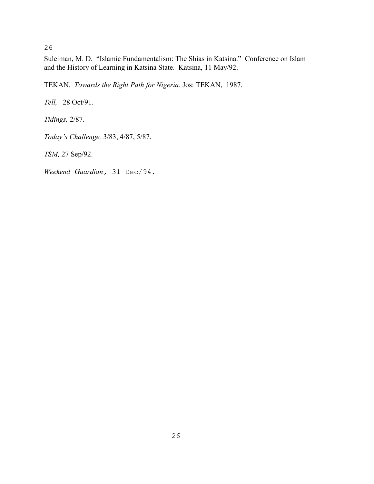26

Suleiman, M. D. "Islamic Fundamentalism: The Shias in Katsina." Conference on Islam and the History of Learning in Katsina State. Katsina, 11 May/92.

TEKAN. *Towards the Right Path for Nigeria.* Jos: TEKAN, 1987.

*Tell,* 28 Oct/91.

*Tidings,* 2/87.

*Today's Challenge,* 3/83, 4/87, 5/87.

*TSM,* 27 Sep/92.

*Weekend Guardian,* 31 Dec/94.